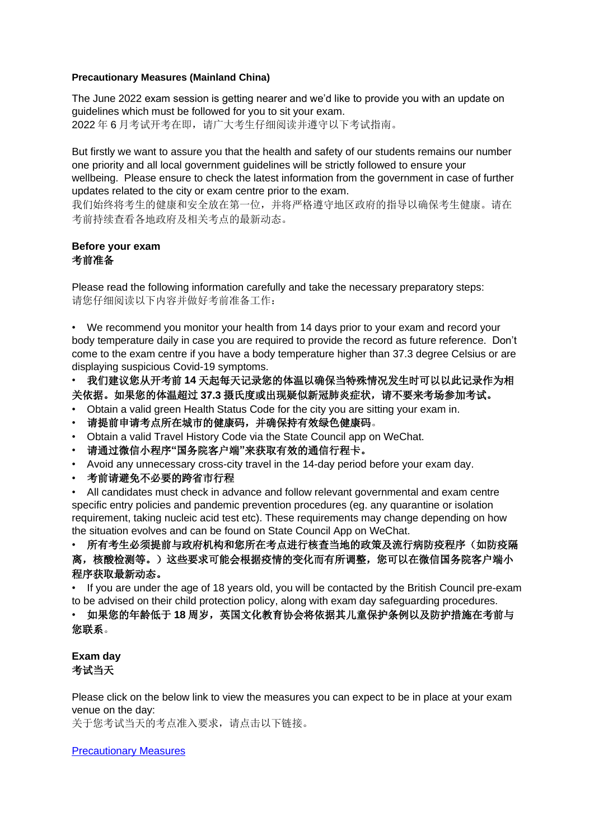## **Precautionary Measures (Mainland China)**

The June 2022 exam session is getting nearer and we'd like to provide you with an update on guidelines which must be followed for you to sit your exam. 2022 年 6 月考试开考在即,请广大考生仔细阅读并遵守以下考试指南。

But firstly we want to assure you that the health and safety of our students remains our number one priority and all local government guidelines will be strictly followed to ensure your wellbeing. Please ensure to check the latest information from the government in case of further updates related to the city or exam centre prior to the exam.

我们始终将考生的健康和安全放在第一位,并将严格遵守地区政府的指导以确保考生健康。请在 考前持续查看各地政府及相关考点的最新动态。

## **Before your exam** 考前准备

Please read the following information carefully and take the necessary preparatory steps: 请您仔细阅读以下内容并做好考前准备工作:

• We recommend you monitor your health from 14 days prior to your exam and record your body temperature daily in case you are required to provide the record as future reference. Don't come to the exam centre if you have a body temperature higher than 37.3 degree Celsius or are displaying suspicious Covid-19 symptoms.

• 我们建议您从开考前 **14** 天起每天记录您的体温以确保当特殊情况发生时可以以此记录作为相 关依据。如果您的体温超过 **37.3** 摄氏度或出现疑似新冠肺炎症状,请不要来考场参加考试。

- Obtain a valid green Health Status Code for the city you are sitting your exam in.
- 请提前申请考点所在城市的健康码,并确保持有效绿色健康码。
- Obtain a valid Travel History Code via the State Council app on WeChat.
- 请通过微信小程序**"**国务院客户端**"**来获取有效的通信行程卡。
- Avoid any unnecessary cross-city travel in the 14-day period before your exam day.
- 考前请避免不必要的跨省市行程

• All candidates must check in advance and follow relevant governmental and exam centre specific entry policies and pandemic prevention procedures (eg. any quarantine or isolation requirement, taking nucleic acid test etc). These requirements may change depending on how the situation evolves and can be found on State Council App on WeChat.

• 所有考生必须提前与政府机构和您所在考点进行核查当地的政策及流行病防疫程序(如防疫隔 离,核酸检测等。)这些要求可能会根据疫情的变化而有所调整,您可以在微信国务院客户端小 程序获取最新动态。

• If you are under the age of 18 years old, you will be contacted by the British Council pre-exam to be advised on their child protection policy, along with exam day safeguarding procedures.

## • 如果您的年龄低于 **18** 周岁,英国文化教育协会将依据其儿童保护条例以及防护措施在考前与 您联系。

**Exam day** 考试当天

Please click on the below link to view the measures you can expect to be in place at your exam venue on the day:

关于您考试当天的考点准入要求,请点击以下链接。

[Precautionary Measures](https://gbr01.safelinks.protection.outlook.com/?url=https%3A%2F%2Fcn.accaglobal.com%2Fstudent%2Fgetting-started%2Fsession-based-exam-centers-and-notice%2Fcentre-requirement.html&data=05%7C01%7CNeil.Hardie%40accaglobal.com%7Cfa19e72d31464465d59c08da37ecfd9c%7Cf2e7de2c59ba49fe8c684cd333f96b01%7C0%7C0%7C637883788387440239%7CUnknown%7CTWFpbGZsb3d8eyJWIjoiMC4wLjAwMDAiLCJQIjoiV2luMzIiLCJBTiI6Ik1haWwiLCJXVCI6Mn0%3D%7C3000%7C%7C%7C&sdata=QK7ZYn2DHepuT24%2BeuzmXqMNLE1%2B%2FKk66TVKaqpETnA%3D&reserved=0)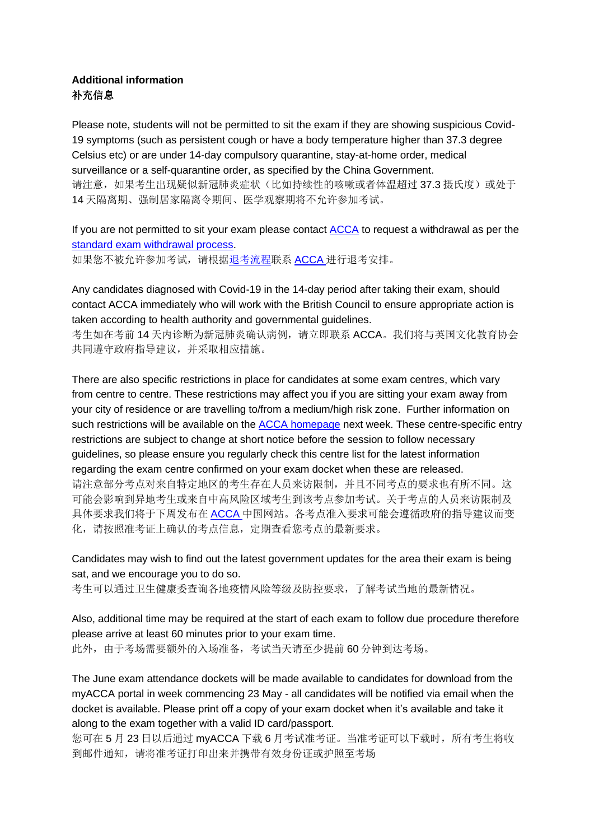## **Additional information** 补充信息

Please note, students will not be permitted to sit the exam if they are showing suspicious Covid-19 symptoms (such as persistent cough or have a body temperature higher than 37.3 degree Celsius etc) or are under 14-day compulsory quarantine, stay-at-home order, medical surveillance or a self-quarantine order, as specified by the China Government. 请注意,如果考生出现疑似新冠肺炎症状(比如持续性的咳嗽或者体温超过 37.3 摄氏度)或处于 14 天隔离期、强制居家隔离令期间、医学观察期将不允许参加考试。

If you are not permitted to sit your exam please contact [ACCA](https://gbr01.safelinks.protection.outlook.com/?url=https%3A%2F%2Faccaservicecloud.custhelp.com%2Frd%3F1%3DAvNO~woLDv8S~_75Gs5S~yL6WbsoNC77Mv9u~z7~Pv_n%262%3D31701&data=04%7C01%7CChris.Mackenzie%40accaglobal.com%7C105895cc43c943a4a44e08d9aa8b47dc%7Cf2e7de2c59ba49fe8c684cd333f96b01%7C0%7C0%7C637728337446833356%7CUnknown%7CTWFpbGZsb3d8eyJWIjoiMC4wLjAwMDAiLCJQIjoiV2luMzIiLCJBTiI6Ik1haWwiLCJXVCI6Mn0%3D%7C3000&sdata=WoIiAL7913A58jS4x9BIIOlp%2B%2BM0Dg3kLudm0rjmzfc%3D&reserved=0) to request a withdrawal as per the [standard exam withdrawal](https://gbr01.safelinks.protection.outlook.com/?url=https%3A%2F%2Faccaservicecloud.custhelp.com%2Frd%3F1%3DAvNO~woLDv8S~_75Gs5S~yL6WbsoNC77Mv9u~z7~Pv_n%262%3D31702&data=04%7C01%7CChris.Mackenzie%40accaglobal.com%7C105895cc43c943a4a44e08d9aa8b47dc%7Cf2e7de2c59ba49fe8c684cd333f96b01%7C0%7C0%7C637728337446833356%7CUnknown%7CTWFpbGZsb3d8eyJWIjoiMC4wLjAwMDAiLCJQIjoiV2luMzIiLCJBTiI6Ik1haWwiLCJXVCI6Mn0%3D%7C3000&sdata=j2C17Aqe1LS1Ys1GGS0ubFx8wfWvxn%2FigzmzyFR3JFM%3D&reserved=0) process.

如果您不被允许参加考试,请根[据退考流程联](https://gbr01.safelinks.protection.outlook.com/?url=https%3A%2F%2Faccaservicecloud.custhelp.com%2Frd%3F1%3DAvNO~woLDv8S~_75Gs5S~yL6WbsoNC77Mv9u~z7~Pv_n%262%3D31703&data=04%7C01%7CChris.Mackenzie%40accaglobal.com%7C105895cc43c943a4a44e08d9aa8b47dc%7Cf2e7de2c59ba49fe8c684cd333f96b01%7C0%7C0%7C637728337446843318%7CUnknown%7CTWFpbGZsb3d8eyJWIjoiMC4wLjAwMDAiLCJQIjoiV2luMzIiLCJBTiI6Ik1haWwiLCJXVCI6Mn0%3D%7C3000&sdata=2bLKd2SIXSOt5iyRL1oW5y9AXe38P%2FQ9UBiq5auesfo%3D&reserved=0)系 [ACCA](https://gbr01.safelinks.protection.outlook.com/?url=https%3A%2F%2Faccaservicecloud.custhelp.com%2Frd%3F1%3DAvNO~woLDv8S~_75Gs5S~yL6WbsoNC77Mv9u~z7~Pv_n%262%3D31704&data=04%7C01%7CChris.Mackenzie%40accaglobal.com%7C105895cc43c943a4a44e08d9aa8b47dc%7Cf2e7de2c59ba49fe8c684cd333f96b01%7C0%7C0%7C637728337446843318%7CUnknown%7CTWFpbGZsb3d8eyJWIjoiMC4wLjAwMDAiLCJQIjoiV2luMzIiLCJBTiI6Ik1haWwiLCJXVCI6Mn0%3D%7C3000&sdata=XPB2wqoooP1GgkswS2QfSuSD%2BpG0MgWmuYIhUn32SsE%3D&reserved=0) 进行退考安排。

Any candidates diagnosed with Covid-19 in the 14-day period after taking their exam, should contact ACCA immediately who will work with the British Council to ensure appropriate action is taken according to health authority and governmental guidelines.

考生如在考前 14 天内诊断为新冠肺炎确认病例,请立即联系 ACCA。我们将与英国文化教育协会 共同遵守政府指导建议,并采取相应措施。

There are also specific restrictions in place for candidates at some exam centres, which vary from centre to centre. These restrictions may affect you if you are sitting your exam away from your city of residence or are travelling to/from a medium/high risk zone. Further information on such restrictions will be available on the **ACCA homepage** next week. These centre-specific entry restrictions are subject to change at short notice before the session to follow necessary guidelines, so please ensure you regularly check this centre list for the latest information regarding the exam centre confirmed on your exam docket when these are released. 请注意部分考点对来自特定地区的考生存在人员来访限制,并且不同考点的要求也有所不同。这 可能会影响到异地考生或来自中高风险区域考生到该考点参加考试。关于考点的人员来访限制及 具体要求我们将于下周发布在 [ACCA](https://cn.accaglobal.com/student/getting-started/session-based-exam-centers-and-notice/centre-requirement.html) 中国网站。各考点准入要求可能会遵循政府的指导建议而变 化,请按照准考证上确认的考点信息,定期查看您考点的最新要求。

Candidates may wish to find out the latest government updates for the area their exam is being sat, and we encourage you to do so.

考生可以通过卫生健康委查询各地疫情风险等级及防控要求,了解考试当地的最新情况。

Also, additional time may be required at the start of each exam to follow due procedure therefore please arrive at least 60 minutes prior to your exam time. 此外,由于考场需要额外的入场准备,考试当天请至少提前 60 分钟到达考场。

The June exam attendance dockets will be made available to candidates for download from the myACCA portal in week commencing 23 May - all candidates will be notified via email when the docket is available. Please print off a copy of your exam docket when it's available and take it along to the exam together with a valid ID card/passport.

您可在 5 月 23 日以后通过 myACCA 下载 6 月考试准考证。当准考证可以下载时, 所有考生将收 到邮件通知,请将准考证打印出来并携带有效身份证或护照至考场